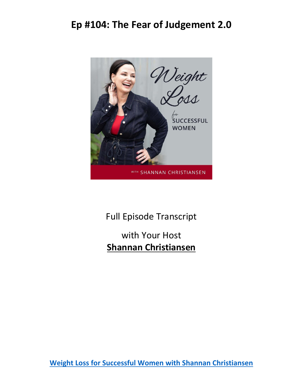

Full Episode Transcript

with Your Host **Shannan Christiansen**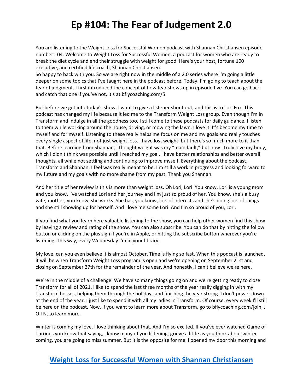You are listening to the Weight Loss for Successful Women podcast with Shannan Christiansen episode number 104. Welcome to Weight Loss for Successful Women, a podcast for women who are ready to break the diet cycle and end their struggle with weight for good. Here's your host, fortune 100 executive, and certified life coach, Shannan Christiansen.

So happy to back with you. So we are right now in the middle of a 2.0 series where I'm going a little deeper on some topics that I've taught here in the podcast before. Today, I'm going to teach about the fear of judgment. I first introduced the concept of how fear shows up in episode five. You can go back and catch that one if you've not, it's at bflycoaching.com/5.

But before we get into today's show, I want to give a listener shout out, and this is to Lori Fox. This podcast has changed my life because it led me to the Transform Weight Loss group. Even though I'm in Transform and indulge in all the goodness too, I still come to these podcasts for daily guidance. I listen to them while working around the house, driving, or mowing the lawn. I love it. It's become my time to myself and for myself. Listening to these really helps me focus on me and my goals and really touches every single aspect of life, not just weight loss. I have lost weight, but there's so much more to it than that. Before learning from Shannan, I thought weight was my "main fault," but now I truly love my body, which I didn't think was possible until I reached my goal. I have better relationships and better overall thoughts, all while not settling and continuing to improve myself. Everything about the podcast, Transform and Shannan, I feel was really meant to be. I'm still a work in progress and looking forward to my future and my goals with no more shame from my past. Thank you Shannan.

And her title of her review is this is more than weight loss. Oh Lori, Lori. You know, Lori is a young mom and you know, I've watched Lori and her journey and I'm just so proud of her. You know, she's a busy wife, mother, you know, she works. She has, you know, lots of interests and she's doing lots of things and she still showing up for herself. And I love me some Lori. And I'm so proud of you, Lori.

If you find what you learn here valuable listening to the show, you can help other women find this show by leaving a review and rating of the show. You can also subscribe. You can do that by hitting the follow button or clicking on the plus sign if you're in Apple, or hitting the subscribe button wherever you're listening. This way, every Wednesday I'm in your library.

My love, can you even believe it is almost October. Time is flying so fast. When this podcast is launched, it will be when Transform Weight Loss program is open and we're opening on September 21st and closing on September 27th for the remainder of the year. And honestly, I can't believe we're here.

We're in the middle of a challenge. We have so many things going on and we're getting ready to close Transform for all of 2021. I like to spend the last three months of the year really digging in with my Transform bosses, helping them through the holidays and finishing the year strong. I don't power down at the end of the year. I just like to spend it with all my ladies in Transform. Of course, every week I'll still be here on the podcast. Now, if you want to learn more about Transform, go to bflycoaching.com/join, J O I N, to learn more.

Winter is coming my love. I love thinking about that. And I'm so excited. If you've ever watched Game of Thrones you know that saying, I know many of you listening, grieve a little as you think about winter coming, you are going to miss summer. But it is the opposite for me. I opened my door this morning and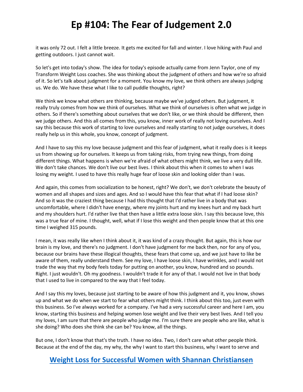it was only 72 out. I felt a little breeze. It gets me excited for fall and winter. I love hiking with Paul and getting outdoors. I just cannot wait.

So let's get into today's show. The idea for today's episode actually came from Jenn Taylor, one of my Transform Weight Loss coaches. She was thinking about the judgment of others and how we're so afraid of it. So let's talk about judgment for a moment. You know my love, we think others are always judging us. We do. We have these what I like to call puddle thoughts, right?

We think we know what others are thinking, because maybe we've judged others. But judgment, it really truly comes from how we think of ourselves. What we think of ourselves is often what we judge in others. So if there's something about ourselves that we don't like, or we think should be different, then we judge others. And this all comes from this, you know, inner work of really not loving ourselves. And I say this because this work of starting to love ourselves and really starting to not judge ourselves, it does really help us in this whole, you know, concept of judgment.

And I have to say this my love because judgment and this fear of judgment, what it really does is it keeps us from showing up for ourselves. It keeps us from taking risks, from trying new things, from doing different things. What happens is when we're afraid of what others might think, we live a very dull life. We don't take chances. We don't live our best lives. I think about this when it comes to when I was losing my weight. I used to have this really huge fear of loose skin and looking older than I was.

And again, this comes from socialization to be honest, right? We don't, we don't celebrate the beauty of women and all shapes and sizes and ages. And so I would have this fear that what if I had loose skin? And so it was the craziest thing because I had this thought that I'd rather live in a body that was uncomfortable, where I didn't have energy, where my joints hurt and my knees hurt and my back hurt and my shoulders hurt. I'd rather live that then have a little extra loose skin. I say this because love, this was a true fear of mine. I thought, well, what if I lose this weight and then people know that at this one time I weighed 315 pounds.

I mean, it was really like when I think about it, it was kind of a crazy thought. But again, this is how our brain is my love, and there's no judgment. I don't have judgment for me back then, nor for any of you, because our brains have these illogical thoughts, these fears that come up, and we just have to like be aware of them, really understand them. See my love, I have loose skin, I have wrinkles, and I would not trade the way that my body feels today for putting on another, you know, hundred and so pounds. Right. I just wouldn't. Oh my goodness. I wouldn't trade it for any of that. I would not live in that body that I used to live in compared to the way that I feel today.

And I say this my loves, because just starting to be aware of how this judgment and it, you know, shows up and what we do when we start to fear what others might think. I think about this too, just even with this business. So I've always worked for a company. I've had a very successful career and here I am, you know, starting this business and helping women lose weight and live their very best lives. And I tell you my loves, I am sure that there are people who judge me. I'm sure there are people who are like, what is she doing? Who does she think she can be? You know, all the things.

But one, I don't know that that's the truth. I have no idea. Two, I don't care what other people think. Because at the end of the day, my why, the why I want to start this business, why I want to serve and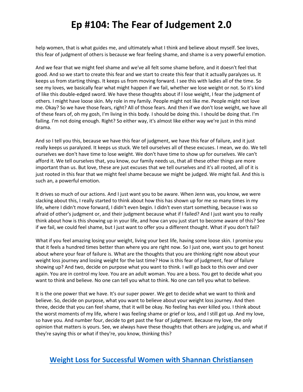help women, that is what guides me, and ultimately what I think and believe about myself. See loves, this fear of judgment of others is because we fear feeling shame, and shame is a very powerful emotion.

And we fear that we might feel shame and we've all felt some shame before, and it doesn't feel that good. And so we start to create this fear and we start to create this fear that it actually paralyzes us. It keeps us from starting things. It keeps us from moving forward. I see this with ladies all of the time. So see my loves, we basically fear what might happen if we fail, whether we lose weight or not. So it's kind of like this double-edged sword. We have these thoughts about if I lose weight, I fear the judgment of others. I might have loose skin. My role in my family. People might not like me. People might not love me. Okay? So we have those fears, right? All of those fears. And then if we don't lose weight, we have all of these fears of, oh my gosh, I'm living in this body. I should be doing this. I should be doing that. I'm failing. I'm not doing enough. Right? So either way, it's almost like either way we're just in this mind drama.

And so I tell you this, because we have this fear of judgment, we have this fear of failure, and it just really keeps us paralyzed. It keeps us stuck. We tell ourselves all of these excuses. I mean, we do. We tell ourselves we don't have time to lose weight. We don't have time to show up for ourselves. We can't afford it. We tell ourselves that, you know, our family needs us, that all these other things are more important than us. But love, these are just excuses that we tell ourselves and it's all rooted, all of it is just rooted in this fear that we might feel shame because we might be judged. We might fail. And this is such an, a powerful emotion.

It drives so much of our actions. And I just want you to be aware. When Jenn was, you know, we were slacking about this, I really started to think about how this has shown up for me so many times in my life, where I didn't move forward, I didn't even begin. I didn't even start something, because I was so afraid of other's judgment or, and their judgment because what if I failed? And I just want you to really think about how is this showing up in your life, and how can you just start to become aware of this? See if we fail, we could feel shame, but I just want to offer you a different thought. What if you don't fail?

What if you feel amazing losing your weight, living your best life, having some loose skin. I promise you that it feels a hundred times better than where you are right now. So I just one, want you to get honest about where your fear of failure is. What are the thoughts that you are thinking right now about your weight loss journey and losing weight for the last time? How is this fear of judgment, fear of failure showing up? And two, decide on purpose what you want to think. I will go back to this over and over again. You are in control my love. You are an adult woman. You are a boss. You get to decide what you want to think and believe. No one can tell you what to think. No one can tell you what to believe.

It is the one power that we have. It's our super power. We get to decide what we want to think and believe. So, decide on purpose, what you want to believe about your weight loss journey. And then three, decide that you can feel shame, that it will be okay. No feeling has ever killed you. I think about the worst moments of my life, where I was feeling shame or grief or loss, and I still got up. And my love, so have you. And number four, decide to get past the fear of judgment. Because my love, the only opinion that matters is yours. See, we always have these thoughts that others are judging us, and what if they're saying this or what if they're, you know, thinking this?